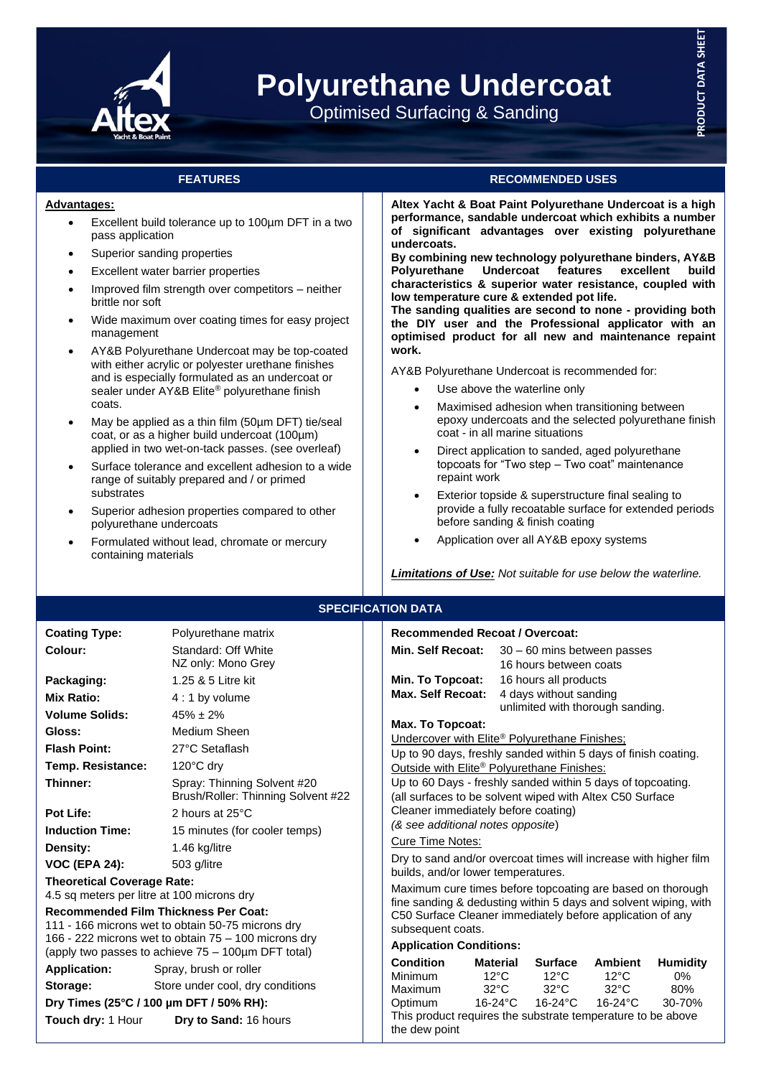

# **Polyurethane Undercoat**

Optimised Surfacing & Sanding

# **Advantages:**

- Excellent build tolerance up to 100um DFT in a two pass application
- Superior sanding properties
- Excellent water barrier properties
- Improved film strength over competitors neither brittle nor soft
- Wide maximum over coating times for easy project management
- AY&B Polyurethane Undercoat may be top-coated with either acrylic or polyester urethane finishes and is especially formulated as an undercoat or sealer under AY&B Elite® polyurethane finish coats.
- May be applied as a thin film (50µm DFT) tie/seal coat, or as a higher build undercoat (100µm) applied in two wet-on-tack passes. (see overleaf)
- Surface tolerance and excellent adhesion to a wide range of suitably prepared and / or primed substrates
- Superior adhesion properties compared to other polyurethane undercoats
- Formulated without lead, chromate or mercury containing materials

# **FEATURES RECOMMENDED USES**

**Altex Yacht & Boat Paint Polyurethane Undercoat is a high performance, sandable undercoat which exhibits a number of significant advantages over existing polyurethane undercoats.**

**By combining new technology polyurethane binders, AY&B Polyurethane Undercoat features excellent build characteristics & superior water resistance, coupled with low temperature cure & extended pot life.**

**The sanding qualities are second to none - providing both the DIY user and the Professional applicator with an optimised product for all new and maintenance repaint work.**

AY&B Polyurethane Undercoat is recommended for:

- Use above the waterline only
- Maximised adhesion when transitioning between epoxy undercoats and the selected polyurethane finish coat - in all marine situations
- Direct application to sanded, aged polyurethane topcoats for "Two step – Two coat" maintenance repaint work
- Exterior topside & superstructure final sealing to provide a fully recoatable surface for extended periods before sanding & finish coating
- Application over all AY&B epoxy systems

*Limitations of Use: Not suitable for use below the waterline.*

# **SPECIFICATION DATA**

| <b>Coating Type:</b>                                                                                                                                                                                           | Polyurethane matrix                                               |  | <b>Recommended Recoat / Overcoat:</b>                                                                                                                                                                                                                                                                                                                                                                                                       |                                   |                |                                  |                                  |                       |  |
|----------------------------------------------------------------------------------------------------------------------------------------------------------------------------------------------------------------|-------------------------------------------------------------------|--|---------------------------------------------------------------------------------------------------------------------------------------------------------------------------------------------------------------------------------------------------------------------------------------------------------------------------------------------------------------------------------------------------------------------------------------------|-----------------------------------|----------------|----------------------------------|----------------------------------|-----------------------|--|
| Colour:                                                                                                                                                                                                        | Standard: Off White<br>NZ only: Mono Grey                         |  | Min. Self Recoat:                                                                                                                                                                                                                                                                                                                                                                                                                           |                                   |                | 16 hours between coats           | $30 - 60$ mins between passes    |                       |  |
| Packaging:                                                                                                                                                                                                     | 1.25 & 5 Litre kit                                                |  | Min. To Topcoat:                                                                                                                                                                                                                                                                                                                                                                                                                            |                                   |                | 16 hours all products            |                                  |                       |  |
| <b>Mix Ratio:</b>                                                                                                                                                                                              | $4:1$ by volume                                                   |  | Max. Self Recoat:                                                                                                                                                                                                                                                                                                                                                                                                                           |                                   |                | 4 days without sanding           |                                  |                       |  |
| <b>Volume Solids:</b>                                                                                                                                                                                          | $45\% \pm 2\%$                                                    |  |                                                                                                                                                                                                                                                                                                                                                                                                                                             |                                   |                |                                  | unlimited with thorough sanding. |                       |  |
| Gloss:                                                                                                                                                                                                         | Medium Sheen                                                      |  | <b>Max. To Topcoat:</b><br>Undercover with Elite <sup>®</sup> Polyurethane Finishes;<br>Up to 90 days, freshly sanded within 5 days of finish coating.<br>Outside with Elite <sup>®</sup> Polyurethane Finishes:<br>Up to 60 Days - freshly sanded within 5 days of topcoating.<br>(all surfaces to be solvent wiped with Altex C50 Surface<br>Cleaner immediately before coating)<br>(& see additional notes opposite)<br>Cure Time Notes: |                                   |                |                                  |                                  |                       |  |
| <b>Flash Point:</b>                                                                                                                                                                                            | 27°C Setaflash                                                    |  |                                                                                                                                                                                                                                                                                                                                                                                                                                             |                                   |                |                                  |                                  |                       |  |
| Temp. Resistance:                                                                                                                                                                                              | 120°C dry                                                         |  |                                                                                                                                                                                                                                                                                                                                                                                                                                             |                                   |                |                                  |                                  |                       |  |
| Thinner:                                                                                                                                                                                                       | Spray: Thinning Solvent #20<br>Brush/Roller: Thinning Solvent #22 |  |                                                                                                                                                                                                                                                                                                                                                                                                                                             |                                   |                |                                  |                                  |                       |  |
| Pot Life:                                                                                                                                                                                                      | 2 hours at 25°C                                                   |  |                                                                                                                                                                                                                                                                                                                                                                                                                                             |                                   |                |                                  |                                  |                       |  |
| <b>Induction Time:</b>                                                                                                                                                                                         | 15 minutes (for cooler temps)                                     |  |                                                                                                                                                                                                                                                                                                                                                                                                                                             |                                   |                |                                  |                                  |                       |  |
| Density:                                                                                                                                                                                                       | 1.46 kg/litre                                                     |  |                                                                                                                                                                                                                                                                                                                                                                                                                                             |                                   |                |                                  |                                  |                       |  |
| <b>VOC (EPA 24):</b>                                                                                                                                                                                           | 503 g/litre                                                       |  | Dry to sand and/or overcoat times will increase with higher film                                                                                                                                                                                                                                                                                                                                                                            |                                   |                |                                  |                                  |                       |  |
| <b>Theoretical Coverage Rate:</b><br>4.5 sq meters per litre at 100 microns dry                                                                                                                                |                                                                   |  | builds, and/or lower temperatures.<br>Maximum cure times before topcoating are based on thorough<br>fine sanding & dedusting within 5 days and solvent wiping, with                                                                                                                                                                                                                                                                         |                                   |                |                                  |                                  |                       |  |
| <b>Recommended Film Thickness Per Coat:</b><br>111 - 166 microns wet to obtain 50-75 microns dry<br>166 - 222 microns wet to obtain 75 – 100 microns dry<br>(apply two passes to achieve 75 - 100µm DFT total) |                                                                   |  | C50 Surface Cleaner immediately before application of any<br>subsequent coats.                                                                                                                                                                                                                                                                                                                                                              |                                   |                |                                  |                                  |                       |  |
|                                                                                                                                                                                                                |                                                                   |  | <b>Application Conditions:</b>                                                                                                                                                                                                                                                                                                                                                                                                              |                                   |                |                                  |                                  |                       |  |
| <b>Application:</b><br>Storage:                                                                                                                                                                                | Spray, brush or roller<br>Store under cool, dry conditions        |  | <b>Condition</b><br>Minimum                                                                                                                                                                                                                                                                                                                                                                                                                 | <b>Material</b><br>$12^{\circ}$ C |                | <b>Surface</b><br>$12^{\circ}$ C | <b>Ambient</b><br>$12^{\circ}$ C | <b>Humidity</b><br>0% |  |
|                                                                                                                                                                                                                |                                                                   |  | Maximum<br>Optimum                                                                                                                                                                                                                                                                                                                                                                                                                          |                                   | $32^{\circ}$ C | $32^{\circ}$ C<br>16-24°C        | $32^{\circ}$ C<br>16-24°C        | 80%<br>30-70%         |  |
| Dry Times (25°C / 100 µm DFT / 50% RH):<br>Touch dry: 1 Hour<br>Dry to Sand: 16 hours                                                                                                                          |                                                                   |  | $16-24$ °C<br>This product requires the substrate temperature to be above<br>the dew point                                                                                                                                                                                                                                                                                                                                                  |                                   |                |                                  |                                  |                       |  |